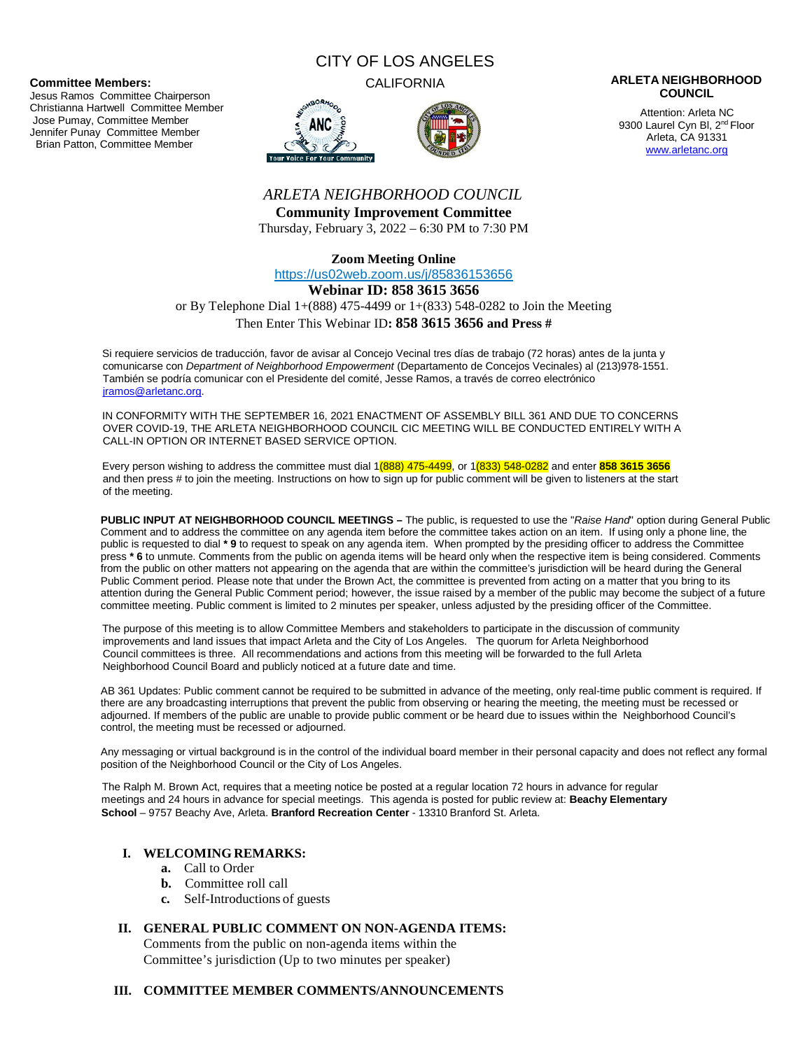#### **Committee Members:**

Jesus Ramos Committee Chairperson Christianna Hartwell Committee Member Jose Pumay, Committee Member Jennifer Punay Committee Member Brian Patton, Committee Member

# CITY OF LOS ANGELES





#### CALIFORNIA **ARLETA NEIGHBORHOOD COUNCIL**

Attention: Arleta NC 9300 Laurel Cyn Bl, 2<sup>nd</sup> Floor Arleta, CA 91331 www.arletanc.org

# *ARLETA NEIGHBORHOOD COUNCIL*

**Community Improvement Committee** Thursday, February 3, 2022 – 6:30 PM to 7:30 PM

**Zoom Meeting Online**

https://us02web.zoom.us/j/85836153656

#### **Webinar ID: 858 3615 3656**

or By Telephone Dial 1+(888) 475-4499 or 1+(833) 548-0282 to Join the Meeting

#### Then Enter This Webinar ID**: 858 3615 3656 and Press #**

Si requiere servicios de traducción, favor de avisar al Concejo Vecinal tres días de trabajo (72 horas) antes de la junta y comunicarse con *Department of Neighborhood Empowerment* (Departamento de Concejos Vecinales) al (213)978-1551. También se podría comunicar con el Presidente del comité, Jesse Ramos, a través de correo electrónico jramos@arletanc.org.

IN CONFORMITY WITH THE SEPTEMBER 16, 2021 ENACTMENT OF ASSEMBLY BILL 361 AND DUE TO CONCERNS OVER COVID-19, THE ARLETA NEIGHBORHOOD COUNCIL CIC MEETING WILL BE CONDUCTED ENTIRELY WITH A CALL-IN OPTION OR INTERNET BASED SERVICE OPTION.

Every person wishing to address the committee must dial 1(888) 475-4499, or 1(833) 548-0282 and enter **858 3615 3656** and then press # to join the meeting. Instructions on how to sign up for public comment will be given to listeners at the start of the meeting.

**PUBLIC INPUT AT NEIGHBORHOOD COUNCIL MEETINGS –** The public, is requested to use the "*Raise Hand*" option during General Public Comment and to address the committee on any agenda item before the committee takes action on an item. If using only a phone line, the public is requested to dial **\* 9** to request to speak on any agenda item. When prompted by the presiding officer to address the Committee press **\* 6** to unmute. Comments from the public on agenda items will be heard only when the respective item is being considered. Comments from the public on other matters not appearing on the agenda that are within the committee's jurisdiction will be heard during the General Public Comment period. Please note that under the Brown Act, the committee is prevented from acting on a matter that you bring to its attention during the General Public Comment period; however, the issue raised by a member of the public may become the subject of a future committee meeting. Public comment is limited to 2 minutes per speaker, unless adjusted by the presiding officer of the Committee.

The purpose of this meeting is to allow Committee Members and stakeholders to participate in the discussion of community improvements and land issues that impact Arleta and the City of Los Angeles. The quorum for Arleta Neighborhood Council committees is three. All recommendations and actions from this meeting will be forwarded to the full Arleta Neighborhood Council Board and publicly noticed at a future date and time.

AB 361 Updates: Public comment cannot be required to be submitted in advance of the meeting, only real-time public comment is required. If there are any broadcasting interruptions that prevent the public from observing or hearing the meeting, the meeting must be recessed or adjourned. If members of the public are unable to provide public comment or be heard due to issues within the Neighborhood Council's control, the meeting must be recessed or adjourned.

Any messaging or virtual background is in the control of the individual board member in their personal capacity and does not reflect any formal position of the Neighborhood Council or the City of Los Angeles.

The Ralph M. Brown Act, requires that a meeting notice be posted at a regular location 72 hours in advance for regular meetings and 24 hours in advance for special meetings. This agenda is posted for public review at: **Beachy Elementary School** – 9757 Beachy Ave, Arleta. **Branford Recreation Center** - 13310 Branford St. Arleta.

# **I. WELCOMING REMARKS:**

- **a.** Call to Order
- **b.** Committee roll call
- **c.** Self-Introductions of guests

## **II. GENERAL PUBLIC COMMENT ON NON-AGENDA ITEMS:**

Comments from the public on non-agenda items within the Committee's jurisdiction (Up to two minutes per speaker)

#### **III. COMMITTEE MEMBER COMMENTS/ANNOUNCEMENTS**